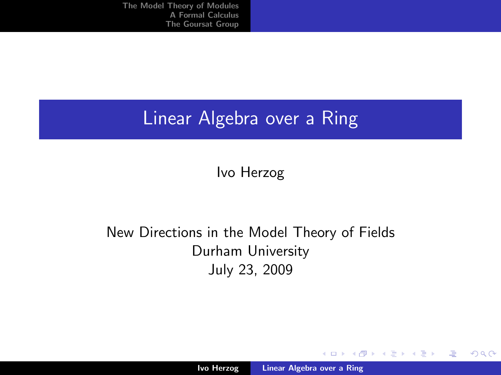## Linear Algebra over a Ring

Ivo Herzog

#### New Directions in the Model Theory of Fields Durham University July 23, 2009

K ロ ⊁ K 倒 ≯ K ミ ⊁ K ミ ≯

<span id="page-0-0"></span>哇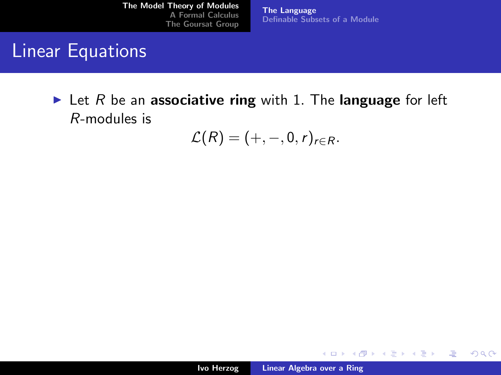[The Language](#page-3-0) [Definable Subsets of a Module](#page-11-0)

## Linear Equations

In Let R be an associative ring with 1. The language for left R-modules is

 $\mathcal{L}(R) = (+, -, 0, r)_{r \in R}$ .

イロメ イ部メ イヨメ イヨメー

<span id="page-1-0"></span>哇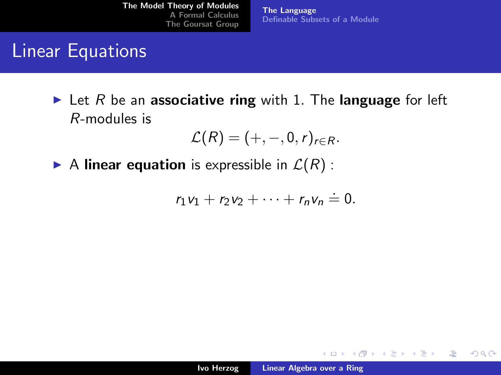[The Language](#page-3-0) [Definable Subsets of a Module](#page-11-0)

## Linear Equations

In Let R be an associative ring with 1. The language for left R-modules is

$$
\mathcal{L}(R)=(+,-,0,r)_{r\in R}.
$$

A linear equation is expressible in  $\mathcal{L}(R)$ :

$$
r_1v_1+r_2v_2+\cdots+r_nv_n\stackrel{.}{=}0.
$$

K ロ ⊁ K 倒 ≯ K ミ ⊁ K ミ ≯

哇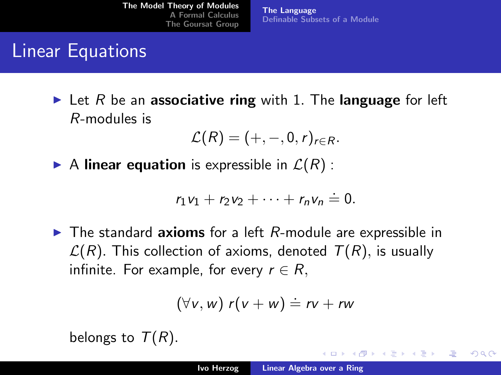Linear Equations

In Let R be an associative ring with 1. The language for left R-modules is

$$
\mathcal{L}(R)=(+,-,0,r)_{r\in R}.
$$

[The Language](#page-1-0)

[Definable Subsets of a Module](#page-11-0)

A linear equation is expressible in  $\mathcal{L}(R)$ :

$$
r_1v_1+r_2v_2+\cdots+r_nv_n\stackrel{.}{=}0.
$$

 $\blacktriangleright$  The standard axioms for a left  $R$ -module are expressible in  $\mathcal{L}(R)$ . This collection of axioms, denoted  $T(R)$ , is usually infinite. For example, for every  $r \in R$ ,

$$
(\forall v, w) r(v + w) \doteq rv + rw
$$

belongs to  $T(R)$ .

メミメ メミメ

<span id="page-3-0"></span>へのへ

 $\leftarrow$   $\cap$   $\rightarrow$   $\leftarrow$   $\cap$   $\rightarrow$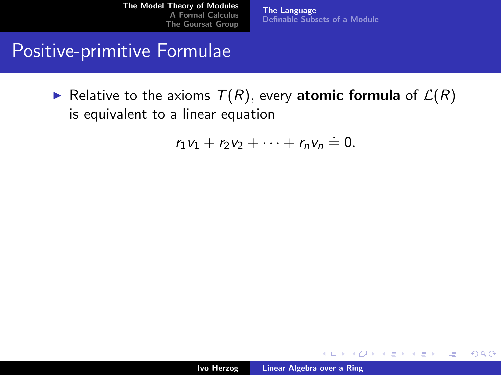[The Language](#page-1-0) [Definable Subsets of a Module](#page-11-0)

#### Positive-primitive Formulae

Relative to the axioms  $T(R)$ , every atomic formula of  $\mathcal{L}(R)$ is equivalent to a linear equation

$$
r_1v_1+r_2v_2+\cdots+r_nv_n\stackrel{.}{=}0.
$$

K ロ ⊁ K 倒 ≯ K ミ ⊁ K ミ ≯

哇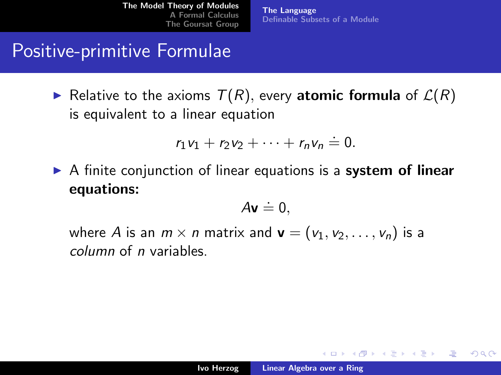[The Language](#page-1-0) [Definable Subsets of a Module](#page-11-0)

#### Positive-primitive Formulae

Relative to the axioms  $T(R)$ , every atomic formula of  $\mathcal{L}(R)$ is equivalent to a linear equation

$$
r_1v_1+r_2v_2+\cdots+r_nv_n\stackrel{.}{=}0.
$$

 $\triangleright$  A finite conjunction of linear equations is a system of linear equations:

$$
A\mathbf{v} \doteq 0,
$$

where A is an  $m \times n$  matrix and  $\mathbf{v} = (v_1, v_2, \dots, v_n)$  is a column of n variables.

K ロ ⊁ K 倒 ≯ K ミ ⊁ K ミ ≯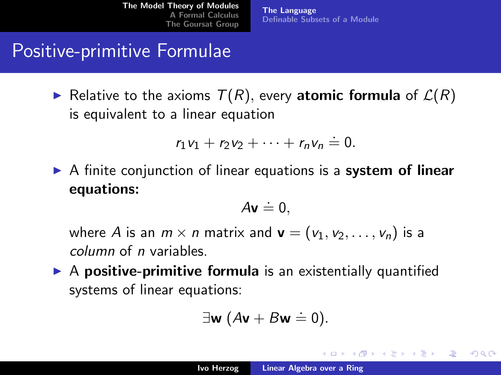[The Language](#page-1-0) [Definable Subsets of a Module](#page-11-0)

## Positive-primitive Formulae

Relative to the axioms  $T(R)$ , every atomic formula of  $\mathcal{L}(R)$ is equivalent to a linear equation

$$
r_1v_1+r_2v_2+\cdots+r_nv_n\stackrel{.}{=}0.
$$

 $\triangleright$  A finite conjunction of linear equations is a system of linear equations:

$$
A\mathbf{v} \doteq 0,
$$

where A is an  $m \times n$  matrix and  $\mathbf{v} = (v_1, v_2, \dots, v_n)$  is a column of n variables.

 $\triangleright$  A positive-primitive formula is an existentially quantified systems of linear equations:

$$
\exists \mathbf{w} \ (A\mathbf{v} + B\mathbf{w} \doteq 0).
$$

K ロ ⊁ K 倒 ≯ K ミ ⊁ K ミ ≯

 $\Omega$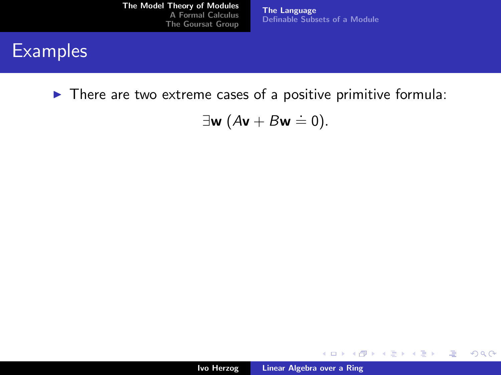[The Language](#page-1-0) [Definable Subsets of a Module](#page-11-0)

#### **Examples**

 $\blacktriangleright$  There are two extreme cases of a positive primitive formula:

$$
\exists \mathbf{w} \ (A\mathbf{v} + B\mathbf{w} \doteq 0).
$$

メロメ メ都 メメ きょくきょう

画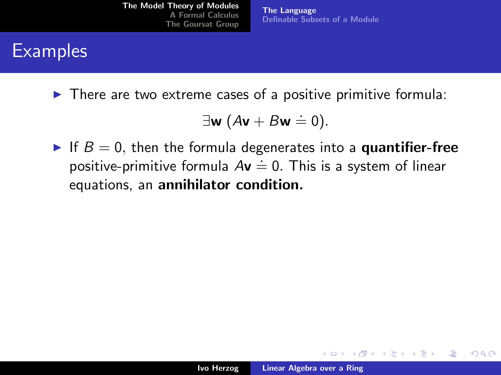[The Language](#page-1-0) [Definable Subsets of a Module](#page-11-0)

# **Examples**

 $\triangleright$  There are two extreme cases of a positive primitive formula:

$$
\exists \mathbf{w} \ (A\mathbf{v} + B\mathbf{w} \doteq 0).
$$

If  $B = 0$ , then the formula degenerates into a **quantifier-free**  $\frac{1}{2}$ ,  $\frac{1}{2}$ ,  $\frac{1}{2}$ ,  $\frac{1}{2}$ ,  $\frac{1}{2}$ ,  $\frac{1}{2}$ ,  $\frac{1}{2}$ ,  $\frac{1}{2}$ ,  $\frac{1}{2}$ ,  $\frac{1}{2}$ ,  $\frac{1}{2}$ ,  $\frac{1}{2}$ ,  $\frac{1}{2}$ ,  $\frac{1}{2}$ ,  $\frac{1}{2}$ ,  $\frac{1}{2}$ ,  $\frac{1}{2}$ ,  $\frac{1}{2}$ ,  $\frac{1}{2}$ ,  $\frac{1}{2}$ , equations, an annihilator condition.

K ロ ⊁ K 倒 ≯ K ミ ⊁ K ミ ≯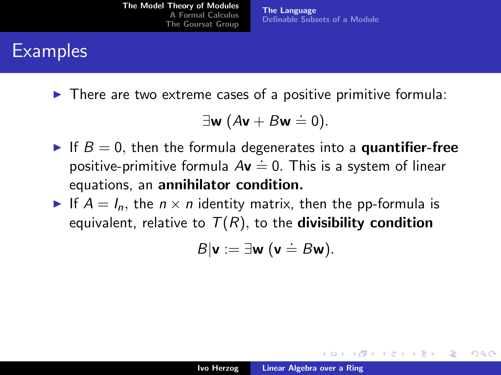[The Language](#page-1-0) [Definable Subsets of a Module](#page-11-0)

# **Examples**

 $\triangleright$  There are two extreme cases of a positive primitive formula:

$$
\exists \mathbf{w} \ (A\mathbf{v} + B\mathbf{w} \doteq 0).
$$

- If  $B = 0$ , then the formula degenerates into a **quantifier-free**  $\frac{1}{2}$ ,  $\frac{1}{2}$ ,  $\frac{1}{2}$ ,  $\frac{1}{2}$ ,  $\frac{1}{2}$ ,  $\frac{1}{2}$ ,  $\frac{1}{2}$ ,  $\frac{1}{2}$ ,  $\frac{1}{2}$ ,  $\frac{1}{2}$ ,  $\frac{1}{2}$ ,  $\frac{1}{2}$ ,  $\frac{1}{2}$ ,  $\frac{1}{2}$ ,  $\frac{1}{2}$ ,  $\frac{1}{2}$ ,  $\frac{1}{2}$ ,  $\frac{1}{2}$ ,  $\frac{1}{2}$ ,  $\frac{1}{2}$ , equations, an annihilator condition.
- If  $A = I_n$ , the  $n \times n$  identity matrix, then the pp-formula is equivalent, relative to  $T(R)$ , to the **divisibility condition**

$$
B|\mathbf{v}:=\exists \mathbf{w} \; (\mathbf{v} \doteq B\mathbf{w}).
$$

メロメ メタメ メモメ メモメ

へのへ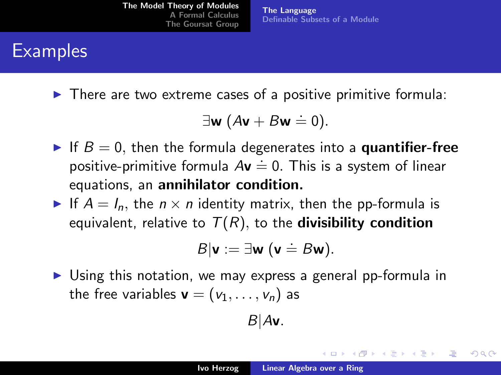[The Language](#page-1-0) [Definable Subsets of a Module](#page-11-0)

# **Examples**

 $\triangleright$  There are two extreme cases of a positive primitive formula:

$$
\exists \mathbf{w} \ (A\mathbf{v} + B\mathbf{w} \doteq 0).
$$

- If  $B = 0$ , then the formula degenerates into a **quantifier-free**  $\frac{1}{2}$ ,  $\frac{1}{2}$ ,  $\frac{1}{2}$ ,  $\frac{1}{2}$ ,  $\frac{1}{2}$ ,  $\frac{1}{2}$ ,  $\frac{1}{2}$ ,  $\frac{1}{2}$ ,  $\frac{1}{2}$ ,  $\frac{1}{2}$ ,  $\frac{1}{2}$ ,  $\frac{1}{2}$ ,  $\frac{1}{2}$ ,  $\frac{1}{2}$ ,  $\frac{1}{2}$ ,  $\frac{1}{2}$ ,  $\frac{1}{2}$ ,  $\frac{1}{2}$ ,  $\frac{1}{2}$ ,  $\frac{1}{2}$ , equations, an annihilator condition.
- If  $A = I_n$ , the  $n \times n$  identity matrix, then the pp-formula is equivalent, relative to  $T(R)$ , to the **divisibility condition**

$$
B|\mathbf{v}:=\exists \mathbf{w} \; (\mathbf{v} \doteq B\mathbf{w}).
$$

 $\triangleright$  Using this notation, we may express a general pp-formula in the free variables  $\mathbf{v} = (v_1, \ldots, v_n)$  as

$$
B|A\mathbf{v}.
$$

K ロ ⊁ K 倒 ≯ K ミ ⊁ K ミ ≯

へのへ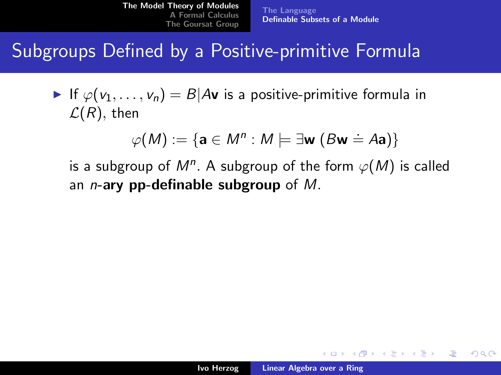[The Language](#page-1-0) [Definable Subsets of a Module](#page-13-0)

Subgroups Defined by a Positive-primitive Formula

If  $\varphi(v_1, \ldots, v_n) = B | Av$  is a positive-primitive formula in  $\mathcal{L}(R)$ , then

$$
\varphi(M) := \{ \mathbf{a} \in M^n : M \models \exists \mathbf{w} \ (B\mathbf{w} \doteq A\mathbf{a}) \}
$$

is a subgroup of  $M^n$ . A subgroup of the form  $\varphi(M)$  is called an *n*-ary pp-definable subgroup of  $M$ .

<span id="page-11-0"></span>メロメ メ御き メミメ メミメー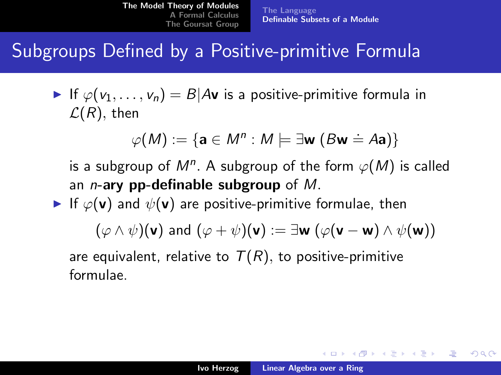[The Language](#page-1-0) [Definable Subsets of a Module](#page-13-0)

#### Subgroups Defined by a Positive-primitive Formula

If  $\varphi(y_1, \ldots, y_n) = B | Av$  is a positive-primitive formula in  $\mathcal{L}(R)$ , then

$$
\varphi(M) := \{ \mathbf{a} \in M^n : M \models \exists \mathbf{w} \ (B\mathbf{w} \doteq A\mathbf{a}) \}
$$

is a subgroup of  $M^n$ . A subgroup of the form  $\varphi(M)$  is called an *n*-ary pp-definable subgroup of  $M$ .

If  $\varphi(\mathbf{v})$  and  $\psi(\mathbf{v})$  are positive-primitive formulae, then

$$
(\varphi \wedge \psi)({\bf v}) \text{ and } (\varphi + \psi)({\bf v}) := \exists {\bf w} \ (\varphi({\bf v}-{\bf w}) \wedge \psi({\bf w}))
$$

are equivalent, relative to  $T(R)$ , to positive-primitive formulae.

イロメ イ部メ イヨメ イヨメー

 $\Omega$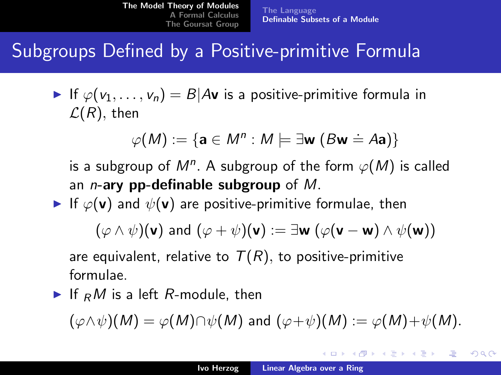## Subgroups Defined by a Positive-primitive Formula

If  $\varphi(y_1, \ldots, y_n) = B | Av$  is a positive-primitive formula in  $\mathcal{L}(R)$ , then

$$
\varphi(M) := \{ \mathbf{a} \in M^n : M \models \exists \mathbf{w} \ (B\mathbf{w} \doteq A\mathbf{a}) \}
$$

is a subgroup of  $M^n$ . A subgroup of the form  $\varphi(M)$  is called an *n*-ary pp-definable subgroup of  $M$ .

If  $\varphi(\mathbf{v})$  and  $\psi(\mathbf{v})$  are positive-primitive formulae, then

$$
(\varphi \wedge \psi)({\bf v}) \text{ and } (\varphi + \psi)({\bf v}) := \exists {\bf w} \ (\varphi({\bf v}-{\bf w}) \wedge \psi({\bf w}))
$$

are equivalent, relative to  $T(R)$ , to positive-primitive formulae.

If  $<sub>R</sub>M$  is a left R-module, then</sub>

$$
(\varphi \wedge \psi)(M) = \varphi(M) \cap \psi(M) \text{ and } (\varphi + \psi)(M) := \varphi(M) + \psi(M).
$$

イロメ イ部メ イヨメ イヨメー

<span id="page-13-0"></span> $\Omega$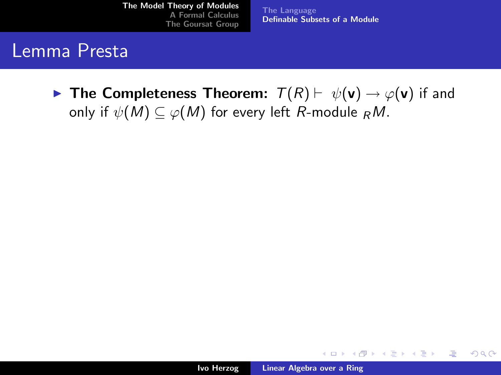[The Language](#page-1-0) [Definable Subsets of a Module](#page-11-0)

#### Lemma Presta

**Figure 1** The Completeness Theorem:  $T(R) \vdash \psi(\mathbf{v}) \rightarrow \varphi(\mathbf{v})$  if and only if  $\psi(M) \subseteq \varphi(M)$  for every left R-module  $_R M$ .

メロメ メ御き メミメ メミメー

哇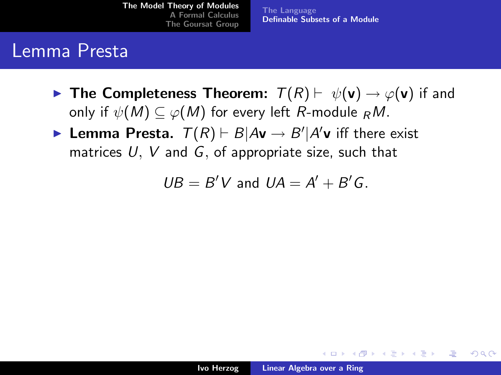[The Language](#page-1-0) [Definable Subsets of a Module](#page-11-0)

#### Lemma Presta

- **IF The Completeness Theorem:**  $T(R) \vdash \psi(\mathbf{v}) \rightarrow \varphi(\mathbf{v})$  if and only if  $\psi(M) \subseteq \varphi(M)$  for every left R-module  $_R M$ .
- **Lemma Presta.**  $T(R) \vdash B | A\mathbf{v} \rightarrow B' | A'\mathbf{v}$  iff there exist matrices  $U, V$  and  $G$ , of appropriate size, such that

 $UB = B'V$  and  $UA = A' + B'G$ .

イロメ マ桐 メラミンマチャ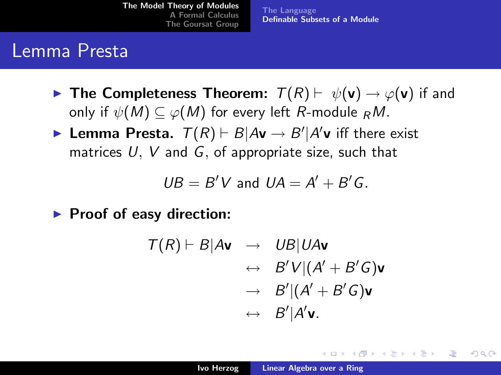[The Language](#page-1-0) [Definable Subsets of a Module](#page-11-0)

#### Lemma Presta

- **IF The Completeness Theorem:**  $T(R) \vdash \psi(\mathbf{v}) \rightarrow \varphi(\mathbf{v})$  if and only if  $\psi(M) \subseteq \varphi(M)$  for every left R-module  $_R M$ .
- **Lemma Presta.**  $T(R) \vdash B | A\mathbf{v} \rightarrow B' | A'\mathbf{v}$  iff there exist matrices  $U, V$  and  $G$ , of appropriate size, such that

$$
UB = B'V \text{ and } UA = A' + B'G.
$$

 $\blacktriangleright$  Proof of easy direction:

$$
T(R) \vdash B | A\mathbf{v} \rightarrow UB | U A\mathbf{v} \n\leftrightarrow B'V | (A' + B'G)\mathbf{v} \n\to B' | (A' + B'G)\mathbf{v} \n\leftrightarrow B' | A'\mathbf{v}.
$$

イロメ マ桐 メラミンマチャ

へのへ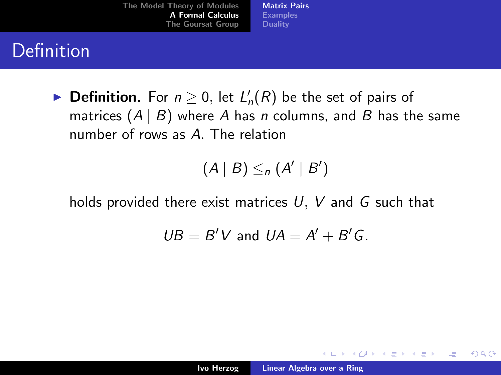[Matrix Pairs](#page-18-0) [Examples](#page-21-0) **[Duality](#page-31-0)** 

# Definition

▶ Definition. For  $n \geq 0$ , let  $L'_n(R)$  be the set of pairs of matrices  $(A | B)$  where A has n columns, and B has the same number of rows as A. The relation

$$
(A | B) \leq_n (A' | B')
$$

holds provided there exist matrices  $U, V$  and  $G$  such that

$$
UB = B'V \text{ and } UA = A' + B'G.
$$

<span id="page-17-0"></span>K ロ ⊁ K 倒 ≯ K ミ ⊁ K ミ ≯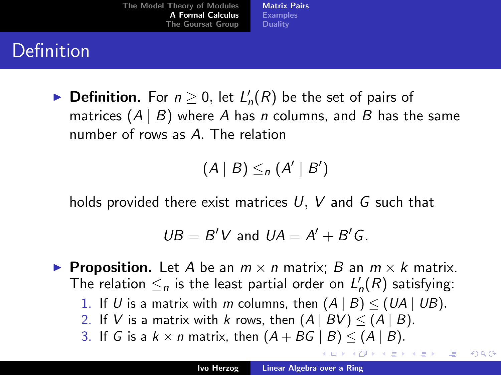[Matrix Pairs](#page-17-0) [Examples](#page-21-0) **[Duality](#page-31-0)** 

# Definition

▶ Definition. For  $n \geq 0$ , let  $L'_n(R)$  be the set of pairs of matrices  $(A | B)$  where A has n columns, and B has the same number of rows as A. The relation

 $(A | B) \leq_n (A' | B')$ 

holds provided there exist matrices  $U, V$  and  $G$  such that

$$
UB = B'V \text{ and } UA = A' + B'G.
$$

**Proposition.** Let A be an  $m \times n$  matrix; B an  $m \times k$  matrix. The relation  $\leq_n$  is the least partial order on  $L'_n(R)$  satisfying:

- 1. If U is a matrix with m columns, then  $(A | B) \leq (UA | UB)$ .
- 2. If V is a matrix with k rows, then  $(A | BV) \leq (A | B)$ .
- 3. If G is a  $k \times n$  matrix, then  $(A + BG | B) < (A | B)$ .

←ロト (御) (き) (き)

哇

<span id="page-18-0"></span>つくい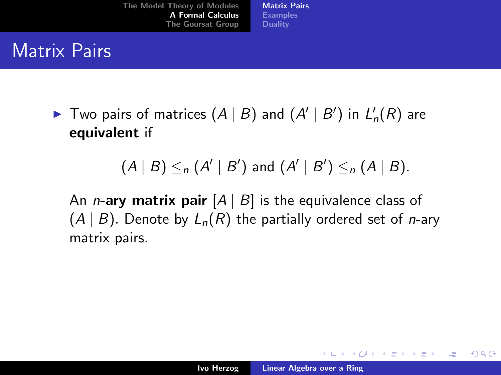[Matrix Pairs](#page-17-0) [Examples](#page-21-0) **[Duality](#page-31-0)** 

## Matrix Pairs

 $\blacktriangleright$  Two pairs of matrices  $(A | B)$  and  $(A' | B')$  in  $L'_n(R)$  are equivalent if

#### $(A | B) \leq_n (A' | B')$  and  $(A' | B') \leq_n (A | B)$ .

An *n*-ary matrix pair  $[A \mid B]$  is the equivalence class of  $(A | B)$ . Denote by  $L_n(R)$  the partially ordered set of *n*-ary matrix pairs.

メロメ メ御き メミメ メミメー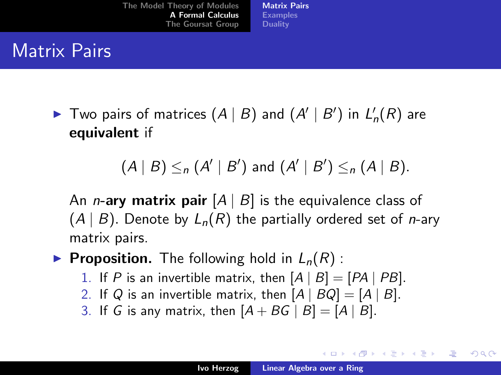[Matrix Pairs](#page-17-0) [Examples](#page-21-0) **[Duality](#page-31-0)** 

## Matrix Pairs

 $\blacktriangleright$  Two pairs of matrices  $(A | B)$  and  $(A' | B')$  in  $L'_n(R)$  are equivalent if

## $(A | B) \leq_n (A' | B')$  and  $(A' | B') \leq_n (A | B)$ .

An *n*-ary matrix pair  $[A \mid B]$  is the equivalence class of  $(A | B)$ . Denote by  $L_n(R)$  the partially ordered set of *n*-ary matrix pairs.

#### **Proposition.** The following hold in  $L_n(R)$ :

- 1. If P is an invertible matrix, then  $[A | B] = [PA | PB]$ .
- 2. If Q is an invertible matrix, then  $[A \mid BQ] = [A \mid B]$ .
- 3. If G is any matrix, then  $[A + BG | B] = [A | B]$ .

メロメ メ御き メミメ メミメー

つへへ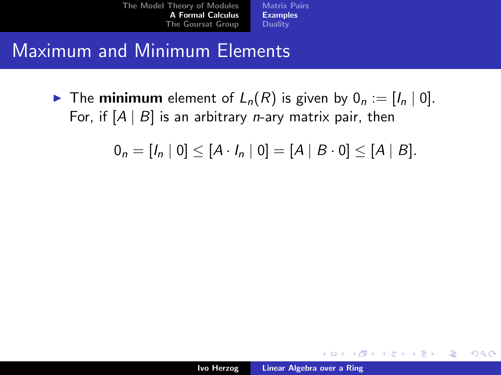[Matrix Pairs](#page-17-0) [Examples](#page-22-0) **[Duality](#page-31-0)** 

#### Maximum and Minimum Elements

 $\blacktriangleright$  The minimum element of  $L_n(R)$  is given by  $0_n := [I_n \mid 0].$ For, if  $[A \mid B]$  is an arbitrary *n*-ary matrix pair, then

$$
0_n = [I_n | 0] \leq [A \cdot I_n | 0] = [A | B \cdot 0] \leq [A | B].
$$

メロメ メ御き メミメ メミメー

<span id="page-21-0"></span>哇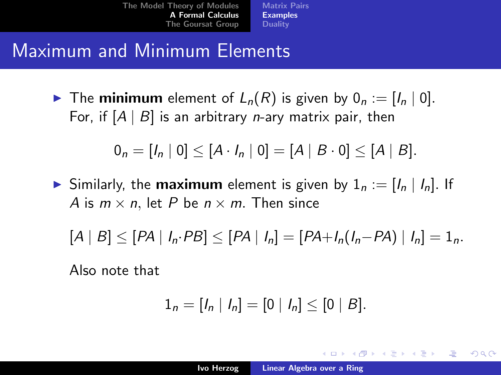[Matrix Pairs](#page-17-0) [Examples](#page-21-0) **[Duality](#page-31-0)** 

## Maximum and Minimum Elements

 $\blacktriangleright$  The minimum element of  $L_n(R)$  is given by  $0_n := [I_n \mid 0].$ For, if  $[A \mid B]$  is an arbitrary *n*-ary matrix pair, then

$$
0_n = [I_n | 0] \leq [A \cdot I_n | 0] = [A | B \cdot 0] \leq [A | B].
$$

Similarly, the **maximum** element is given by  $1_n := [I_n | I_n]$ . If A is  $m \times n$ , let P be  $n \times m$ . Then since

$$
[A | B] \leq [PA | I_n \cdot PB] \leq [PA | I_n] = [PA + I_n(I_n - PA) | I_n] = 1_n.
$$

Also note that

$$
1_n = [I_n | I_n] = [0 | I_n] \leq [0 | B].
$$

メロメ メ団 メメミメメミメ

<span id="page-22-0"></span>つくい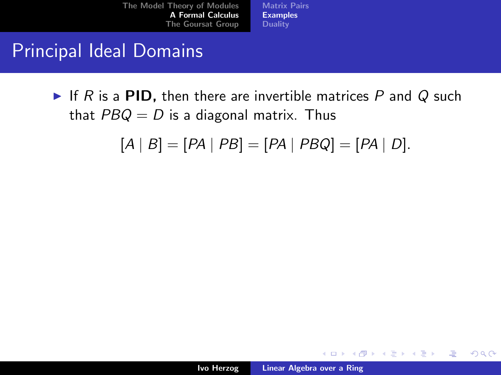[Matrix Pairs](#page-17-0) [Examples](#page-21-0) **[Duality](#page-31-0)** 

### Principal Ideal Domains

If R is a PID, then there are invertible matrices P and Q such that  $PBQ = D$  is a diagonal matrix. Thus

 $[A | B] = [PA | PB] = [PA | PBQ] = [PA | D].$ 

メロメ メ御き メミメ メミメー

 $2Q$ 

哇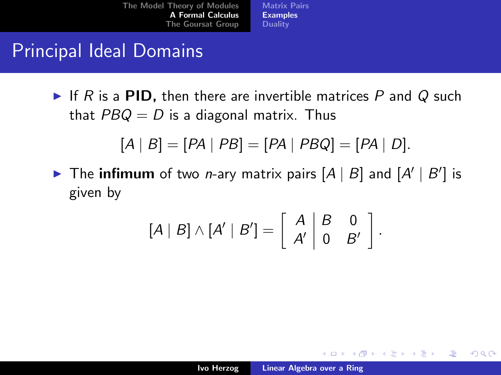[Matrix Pairs](#page-17-0) [Examples](#page-21-0) **[Duality](#page-31-0)** 

## Principal Ideal Domains

If R is a PID, then there are invertible matrices P and Q such that  $PBQ = D$  is a diagonal matrix. Thus

$$
[A | B] = [PA | PB] = [PA | PBQ] = [PA | D].
$$

The infimum of two *n*-ary matrix pairs  $[A | B]$  and  $[A' | B']$  is given by

$$
[A | B] \wedge [A' | B'] = \left[ \begin{array}{c|c} A & B & 0 \\ A' & 0 & B' \end{array} \right].
$$

K ロ ⊁ K 倒 ≯ K ミ ⊁ K ミ ≯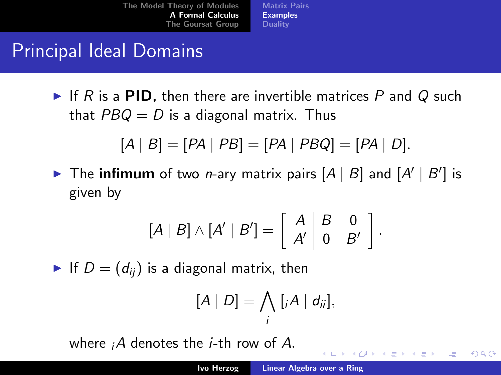[Matrix Pairs](#page-17-0) [Examples](#page-21-0) **[Duality](#page-31-0)** 

## Principal Ideal Domains

If R is a PID, then there are invertible matrices P and Q such that  $PBQ = D$  is a diagonal matrix. Thus

$$
[A | B] = [PA | PB] = [PA | PBQ] = [PA | D].
$$

The infimum of two *n*-ary matrix pairs  $[A | B]$  and  $[A' | B']$  is given by

$$
[A | B] \wedge [A' | B'] = \left[ \begin{array}{c|c} A & B & 0 \\ A' & 0 & B' \end{array} \right].
$$

If  $D = (d_{ij})$  is a diagonal matrix, then

$$
[A | D] = \bigwedge_i [iA | d_{ii}],
$$

where  $iA$  denotes the *i*-th row of A.

イロト イ押 トイモト イモト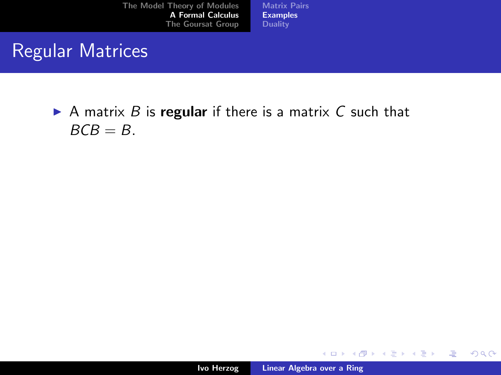[Matrix Pairs](#page-17-0) [Examples](#page-21-0) **[Duality](#page-31-0)** 

## Regular Matrices

A matrix  $B$  is regular if there is a matrix  $C$  such that  $BCB = B$ .

イロト イ団 トイ ミト イヨト

哇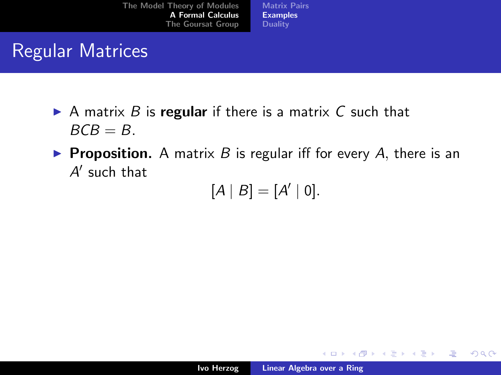[Matrix Pairs](#page-17-0) [Examples](#page-21-0) **[Duality](#page-31-0)** 

## Regular Matrices

- A matrix B is regular if there is a matrix C such that  $BCB = B$ .
- **Proposition.** A matrix B is regular iff for every A, there is an  $A'$  such that

$$
[A \mid B] = [A' \mid 0].
$$

K ロ ⊁ K 倒 ≯ K ミ ⊁ K ミ ≯

哇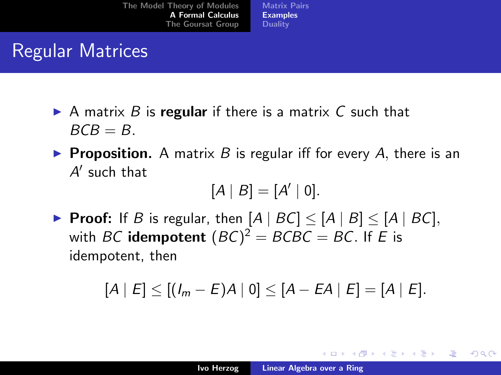[Matrix Pairs](#page-17-0) [Examples](#page-21-0) **[Duality](#page-31-0)** 

## Regular Matrices

- A matrix B is regular if there is a matrix C such that  $BCB = B$ .
- **Proposition.** A matrix B is regular iff for every A, there is an  $A'$  such that

$$
[A | B] = [A' | 0].
$$

▶ Proof: If B is regular, then  $[A \mid BC] \leq [A \mid B] \leq [A \mid BC]$ , with  $BC$  **idempotent**  $(BC)^2 = BCBC = BC$ . If  $E$  is idempotent, then

$$
[A | E] \le [(I_m - E)A | 0] \le [A - EA | E] = [A | E].
$$

K ロ ⊁ K 倒 ≯ K ミ ⊁ K ミ ≯

つくい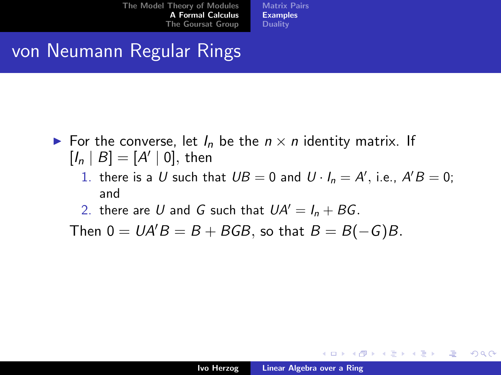[Matrix Pairs](#page-17-0) [Examples](#page-21-0) **[Duality](#page-31-0)** 

# von Neumann Regular Rings

- For the converse, let  $I_n$  be the  $n \times n$  identity matrix. If  $[I_n | B] = [A' | 0],$  then
	- 1. there is a U such that  $UB = 0$  and  $U \cdot I_n = A'$ , i.e.,  $A'B = 0$ ; and
	- 2. there are U and G such that  $UA' = I_n + BG$ .

Then  $0 = UA'B = B + BGB$ , so that  $B = B(-G)B$ .

メロメ メ団 メメミメメミメ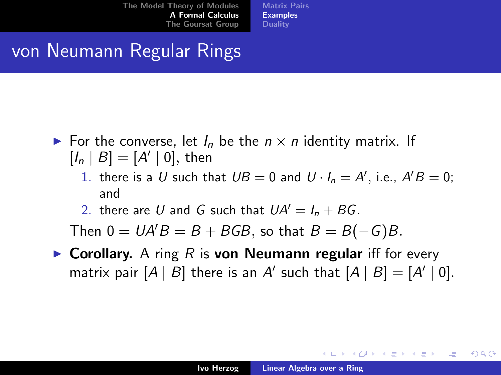[Matrix Pairs](#page-17-0) [Examples](#page-21-0) **[Duality](#page-31-0)** 

# von Neumann Regular Rings

- For the converse, let  $I_n$  be the  $n \times n$  identity matrix. If  $[I_n | B] = [A' | 0],$  then
	- 1. there is a U such that  $UB = 0$  and  $U \cdot I_n = A'$ , i.e.,  $A'B = 0$ ; and
	- 2. there are U and G such that  $UA' = I_n + BG$ .

Then  $0 = UA'B = B + BGB$ , so that  $B = B(-G)B$ .

 $\triangleright$  Corollary. A ring R is von Neumann regular iff for every matrix pair  $[A | B]$  there is an A' such that  $[A | B] = [A' | 0].$ 

K ロ ⊁ K 倒 ≯ K ミ ⊁ K ミ ≯

つくい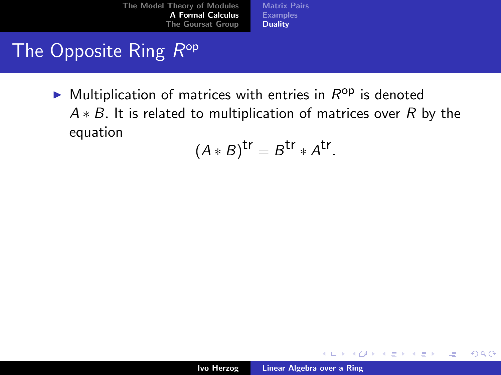[Matrix Pairs](#page-17-0) [Examples](#page-21-0) **[Duality](#page-33-0)** 

## The Opposite Ring R<sup>op</sup>

 $\blacktriangleright$  Multiplication of matrices with entries in  $R^{op}$  is denoted  $A * B$ . It is related to multiplication of matrices over R by the equation

$$
(A * B)^{tr} = B^{tr} * A^{tr}.
$$

K ロ ⊁ K 倒 ≯ K ミ ⊁ K ミ ≯

<span id="page-31-0"></span>哇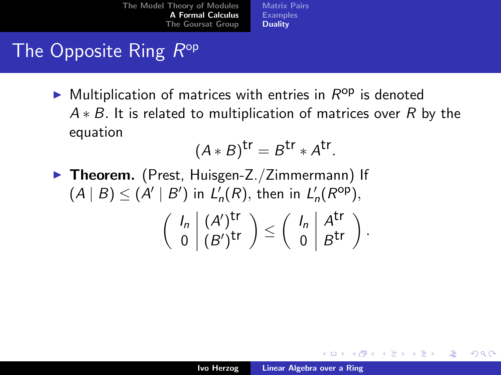[Matrix Pairs](#page-17-0) [Examples](#page-21-0) **[Duality](#page-33-0)** 

## The Opposite Ring R<sup>op</sup>

 $\blacktriangleright$  Multiplication of matrices with entries in  $R^{op}$  is denoted  $A * B$ . It is related to multiplication of matrices over R by the equation

$$
(A * B)^{tr} = B^{tr} * A^{tr}.
$$

 $\triangleright$  Theorem. (Prest, Huisgen-Z./Zimmermann) If  $(A | B) \leq (A' | B')$  in  $L'_n(R)$ , then in  $L'_n(R^{\text{op}})$ ,  $\int I_n \mid (A')^{\text{tr}}$  $\left\{ \begin{array}{l} (A')^{\mbox{\small tr}} \ 0 \end{array} \right\} \leq \left\{ \begin{array}{l} I_n \ A^{\mbox{\small tr}} \ 0 \end{array} \right\}$  $\begin{pmatrix} I_n \\ 0 \end{pmatrix} \begin{pmatrix} A^{\mathsf{tr}} \\ B^{\mathsf{tr}} \end{pmatrix}.$ 

K ロ ⊁ K 倒 ≯ K ミ ⊁ K ミ ≯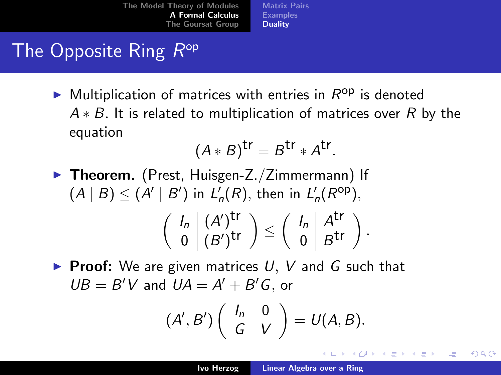[Matrix Pairs](#page-17-0) [Examples](#page-21-0) **[Duality](#page-31-0)** 

# The Opposite Ring R<sup>op</sup>

 $\blacktriangleright$  Multiplication of matrices with entries in  $R^{op}$  is denoted  $A * B$ . It is related to multiplication of matrices over R by the equation

$$
(A * B)^{tr} = B^{tr} * A^{tr}.
$$

- $\triangleright$  Theorem. (Prest, Huisgen-Z./Zimmermann) If  $(A | B) \leq (A' | B')$  in  $L'_n(R)$ , then in  $L'_n(R^{\text{op}})$ ,  $\int I_n \mid (A')^{\text{tr}}$  $\left\{ \begin{array}{l} (A')^{\mbox{\small tr}} \ 0 \end{array} \right\} \leq \left\{ \begin{array}{l} I_n \ A^{\mbox{\small tr}} \ 0 \end{array} \right\}$  $\begin{pmatrix} I_n \\ 0 \end{pmatrix} \begin{pmatrix} A^{\mathsf{tr}} \\ B^{\mathsf{tr}} \end{pmatrix}.$
- **Proof:** We are given matrices  $U, V$  and G such that  $UB = B'V$  and  $UA = A' + B'G$ , or

$$
(A',B')\left(\begin{array}{cc}I_n&0\\G&V\end{array}\right)=U(A,B).
$$

K ロ ⊁ K 倒 ≯ K ミ ⊁ K ミ ≯

<span id="page-33-0"></span>つくい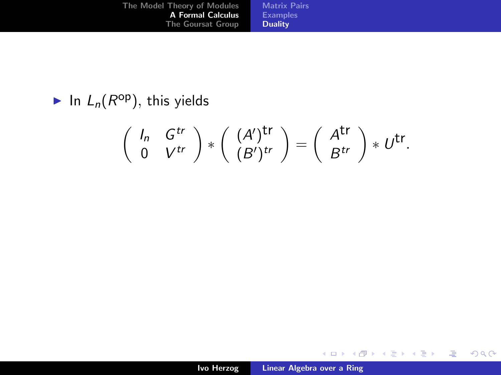| The Model Theory of Modules | <b>Matrix Pairs</b> |
|-----------------------------|---------------------|
| <b>A Formal Calculus</b>    | <b>Examples</b>     |
| The Goursat Group           | <b>Duality</b>      |

In  $L_n(R^{op})$ , this yields

$$
\left(\begin{array}{cc} I_n & G^{tr} \\ 0 & V^{tr} \end{array}\right)*\left(\begin{array}{c} (A')^{tr} \\ (B')^{tr} \end{array}\right)=\left(\begin{array}{c} A^{tr} \\ B^{tr} \end{array}\right)*U^{tr}.
$$

メロメ メ団 メメ ミメ メ ミメー

佳

 $299$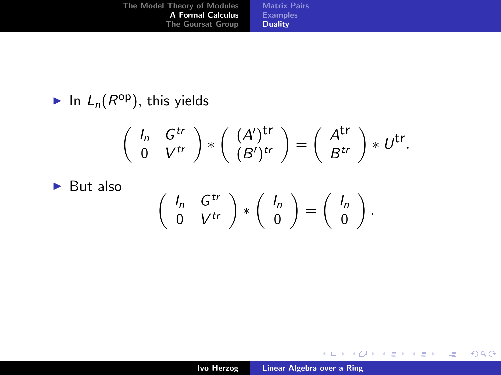| The Model Theory of Modules | <b>Matrix Pairs</b> |
|-----------------------------|---------------------|
| <b>A Formal Calculus</b>    | <b>Examples</b>     |
| The Goursat Group           | <b>Duality</b>      |

In  $L_n(R^{op})$ , this yields

$$
\left(\begin{array}{cc} I_n & G^{tr} \\ 0 & V^{tr} \end{array}\right)*\left(\begin{array}{c} (A')^{\mathsf{tr}} \\ (B')^{tr} \end{array}\right)=\left(\begin{array}{c} A^{\mathsf{tr}} \\ B^{tr} \end{array}\right)*U^{\mathsf{tr}}.
$$

 $\blacktriangleright$  But also

$$
\left(\begin{array}{cc}I_n & G^{tr}\\0 & V^{tr}\end{array}\right)*\left(\begin{array}{c}I_n\\0\end{array}\right)=\left(\begin{array}{c}I_n\\0\end{array}\right).
$$

メロメ メ団 メメ ミメ メ ミメー

佳

 $299$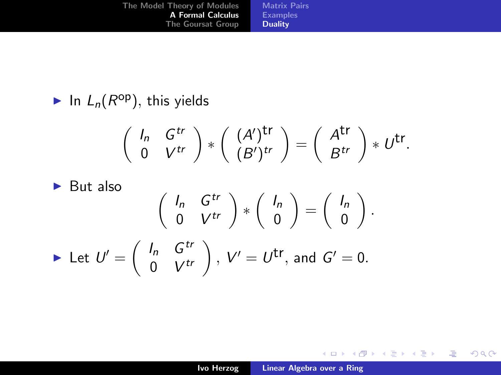| The Model Theory of Modules | <b>Matrix Pairs</b> |
|-----------------------------|---------------------|
| <b>A Formal Calculus</b>    | <b>Examples</b>     |
| The Goursat Group           | <b>Duality</b>      |

In  $L_n(R^{op})$ , this yields

$$
\left(\begin{array}{cc} I_n & G^{tr} \\ 0 & V^{tr} \end{array}\right)*\left(\begin{array}{c} (A')^{tr} \\ (B')^{tr} \end{array}\right)=\left(\begin{array}{c} A^{tr} \\ B^{tr} \end{array}\right)*U^{tr}.
$$

$$
\blacktriangleright
$$
 But also

$$
\begin{pmatrix}\nI_n & G^{tr} \\
0 & V^{tr}\n\end{pmatrix} * \begin{pmatrix}\nI_n \\
0\n\end{pmatrix} = \begin{pmatrix}\nI_n \\
0\n\end{pmatrix}.
$$
\n
$$
\triangleright \text{ Let } U' = \begin{pmatrix}\nI_n & G^{tr} \\
0 & V^{tr}\n\end{pmatrix}, V' = U^{\text{tr}}, \text{ and } G' = 0.
$$

メロメ メ団 メメ ミメ メ ミメー

佳

 $299$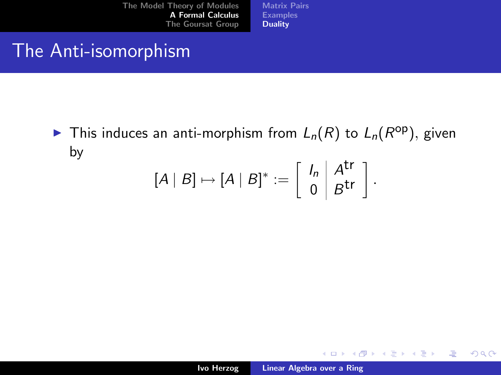[Matrix Pairs](#page-17-0) [Examples](#page-21-0) **[Duality](#page-31-0)** 

### The Anti-isomorphism

In This induces an anti-morphism from  $L_n(R)$  to  $L_n(R^{\text{op}})$ , given by

$$
[A | B] \mapsto [A | B]^* := \left[ \begin{array}{c} I_n \\ 0 \end{array} \middle| \begin{array}{c} A^{\mathsf{tr}} \\ B^{\mathsf{tr}} \end{array} \right].
$$

イロメ イ部メ イヨメ イヨメー

哇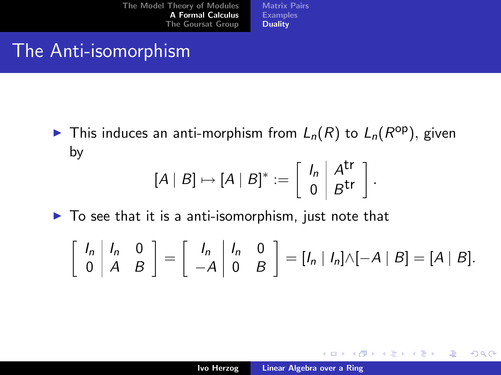[Matrix Pairs](#page-17-0) [Examples](#page-21-0) [Duality](#page-31-0)

### The Anti-isomorphism

In This induces an anti-morphism from  $L_n(R)$  to  $L_n(R^{\text{op}})$ , given by

$$
[A | B] \mapsto [A | B]^* := \left[ \begin{array}{c} I_n \\ 0 \end{array} \middle| \begin{array}{c} A^{\mathsf{tr}} \\ B^{\mathsf{tr}} \end{array} \right].
$$

 $\blacktriangleright$  To see that it is a anti-isomorphism, just note that

$$
\left[\begin{array}{cc}I_n & I_n & 0\\0 & A & B\end{array}\right] = \left[\begin{array}{cc}I_n & I_n & 0\\-A & 0 & B\end{array}\right] = [I_n | I_n]\wedge[-A | B] = [A | B].
$$

K ロ ⊁ K 倒 ≯ K ミ ⊁ K ミ ≯

哇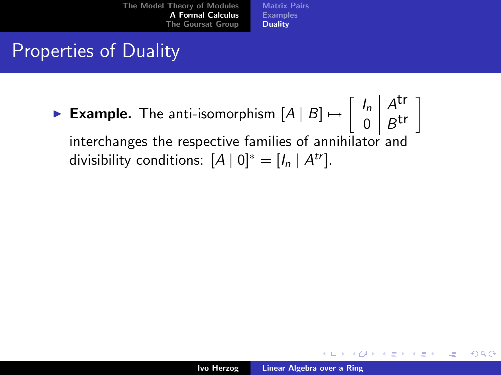[Matrix Pairs](#page-17-0) [Examples](#page-21-0) [Duality](#page-31-0)

## Properties of Duality

► Example. The anti-isomorphism  $[A | B] \mapsto \begin{bmatrix} I_n \\ 0 \end{bmatrix} \begin{bmatrix} At \\ At \end{bmatrix}$  $\begin{bmatrix} I_n \ 0 \end{bmatrix} \begin{bmatrix} A^{\mathsf{tr}} \\ B^{\mathsf{tr}} \end{bmatrix}$ interchanges the respective families of annihilator and divisibility conditions:  $[A \mid 0]^* = [I_n \mid A^{tr}].$ 

K ロ ⊁ K 倒 ≯ K ミ ⊁ K ミ ≯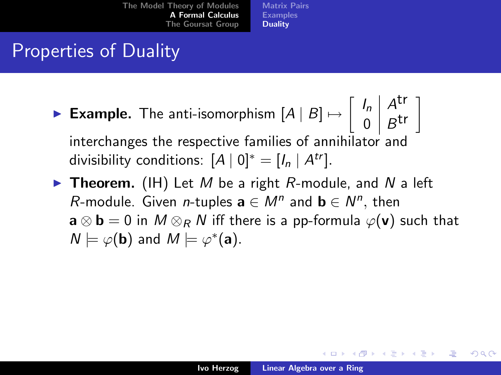[Matrix Pairs](#page-17-0) [Examples](#page-21-0) **[Duality](#page-31-0)** 

## Properties of Duality

- ► Example. The anti-isomorphism  $[A | B] \mapsto \begin{bmatrix} I_n \\ 0 \end{bmatrix} \begin{bmatrix} At \\ At \end{bmatrix}$  $\begin{bmatrix} I_n \ 0 \end{bmatrix} \begin{bmatrix} A^{\mathsf{tr}} \\ B^{\mathsf{tr}} \end{bmatrix}$ interchanges the respective families of annihilator and divisibility conditions:  $[A \mid 0]^* = [I_n \mid A^{tr}].$
- **Theorem.** (IH) Let M be a right R-module, and N a left R-module. Given *n*-tuples  $\mathbf{a} \in M^n$  and  $\mathbf{b} \in N^n$ , then  $\mathbf{a} \otimes \mathbf{b} = 0$  in  $M \otimes_R N$  iff there is a pp-formula  $\varphi(\mathbf{v})$  such that  $N \models \varphi(\mathbf{b})$  and  $M \models \varphi^*(\mathbf{a})$ .

K ロ ⊁ K 倒 ≯ K ミ ⊁ K ミ ≯

つくい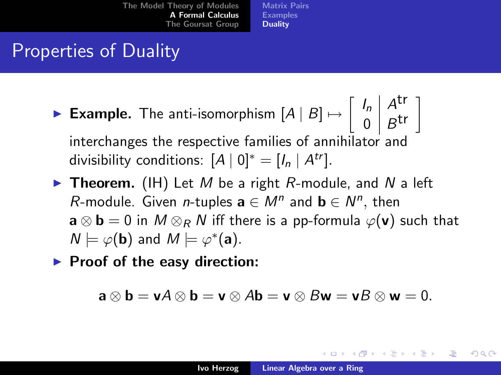[Matrix Pairs](#page-17-0) [Examples](#page-21-0) **[Duality](#page-31-0)** 

## Properties of Duality

- ► Example. The anti-isomorphism  $[A | B] \mapsto \begin{bmatrix} I_n \\ 0 \end{bmatrix} \begin{bmatrix} At \\ At \end{bmatrix}$  $\begin{bmatrix} I_n \ 0 \end{bmatrix} \begin{bmatrix} A^{\mathsf{tr}} \\ B^{\mathsf{tr}} \end{bmatrix}$ interchanges the respective families of annihilator and divisibility conditions:  $[A \mid 0]^* = [I_n \mid A^{tr}].$
- **Theorem.** (IH) Let M be a right R-module, and N a left R-module. Given *n*-tuples  $\mathbf{a} \in M^n$  and  $\mathbf{b} \in N^n$ , then  $\mathbf{a} \otimes \mathbf{b} = 0$  in  $M \otimes_R N$  iff there is a pp-formula  $\varphi(\mathbf{v})$  such that  $N \models \varphi(\mathbf{b})$  and  $M \models \varphi^*(\mathbf{a})$ .

 $\blacktriangleright$  Proof of the easy direction:

$$
\mathbf{a}\otimes\mathbf{b}=\mathbf{v}A\otimes\mathbf{b}=\mathbf{v}\otimes A\mathbf{b}=\mathbf{v}\otimes B\mathbf{w}=\mathbf{v}B\otimes\mathbf{w}=0.
$$

K ロ ⊁ K 倒 ≯ K ミ ⊁ K ミ ≯

つくい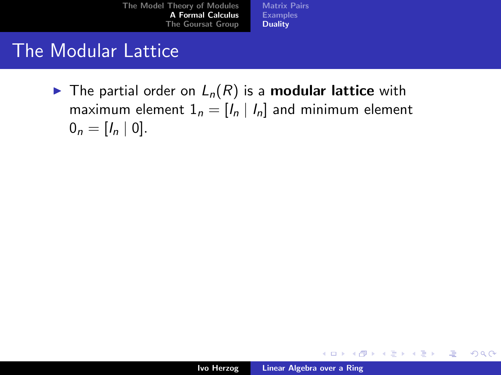[Matrix Pairs](#page-17-0) [Examples](#page-21-0) [Duality](#page-31-0)

### The Modular Lattice

 $\blacktriangleright$  The partial order on  $L_n(R)$  is a **modular lattice** with maximum element  $1_n = [I_n | I_n]$  and minimum element  $0_n = [I_n \mid 0].$ 

メロメ メ御き メミメ メミメー

哇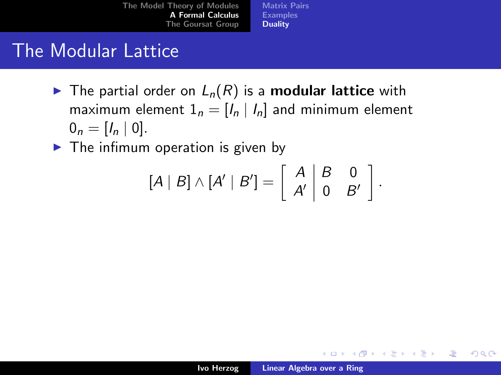[Matrix Pairs](#page-17-0) [Examples](#page-21-0) [Duality](#page-31-0)

## The Modular Lattice

- $\blacktriangleright$  The partial order on  $L_n(R)$  is a **modular lattice** with maximum element  $1_n = [I_n | I_n]$  and minimum element  $0_n = [I_n \mid 0].$
- $\blacktriangleright$  The infimum operation is given by

$$
[A | B] \wedge [A' | B'] = \left[ \begin{array}{c|c} A & B & 0 \\ A' & 0 & B' \end{array} \right].
$$

イロメ イ部メ イヨメ イヨメー

哇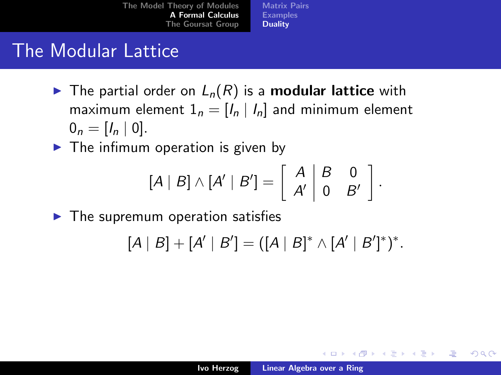[Matrix Pairs](#page-17-0) [Examples](#page-21-0) [Duality](#page-31-0)

## The Modular Lattice

- $\blacktriangleright$  The partial order on  $L_n(R)$  is a **modular lattice** with maximum element  $1_n = [I_n | I_n]$  and minimum element  $0_n = [I_n \mid 0].$
- $\blacktriangleright$  The infimum operation is given by

$$
[A | B] \wedge [A' | B'] = \left[ \begin{array}{c|c} A & B & 0 \\ A' & 0 & B' \end{array} \right].
$$

 $\blacktriangleright$  The supremum operation satisfies

$$
[A | B] + [A' | B'] = ([A | B]^* \wedge [A' | B']^*)^*.
$$

メロメ メ倒 メメ ミメ メミメ

哇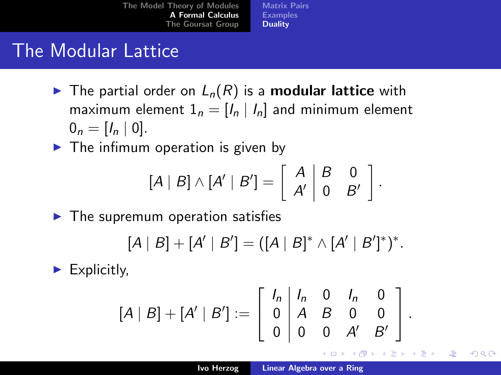[Matrix Pairs](#page-17-0) [Examples](#page-21-0) [Duality](#page-31-0)

## The Modular Lattice

- $\blacktriangleright$  The partial order on  $L_n(R)$  is a **modular lattice** with maximum element  $1_n = [I_n | I_n]$  and minimum element  $0_n = [I_n \mid 0].$
- $\blacktriangleright$  The infimum operation is given by

$$
[A | B] \wedge [A' | B'] = \left[ \begin{array}{c|c} A & B & 0 \\ A' & 0 & B' \end{array} \right].
$$

 $\blacktriangleright$  The supremum operation satisfies

$$
[A | B] + [A' | B'] = ([A | B]^* \wedge [A' | B']^*)^*.
$$

 $\blacktriangleright$  Explicitly,

$$
[A | B] + [A' | B'] := \left[ \begin{array}{cccc} I_n & I_n & 0 & I_n & 0 \\ 0 & A & B & 0 & 0 \\ 0 & 0 & 0 & A' & B' \end{array} \right].
$$

メロメ メ倒 メメ ミメ メミメ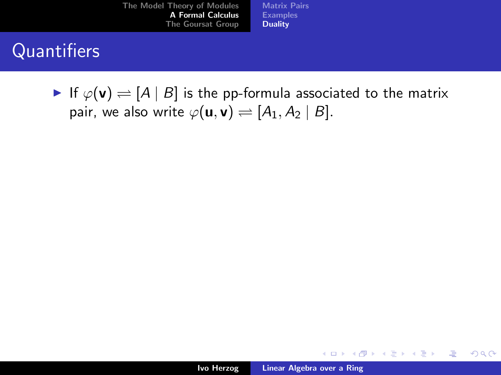[Matrix Pairs](#page-17-0) [Examples](#page-21-0) [Duality](#page-31-0)

## **Quantifiers**

If  $\varphi(\mathbf{v}) \rightleftharpoons [A \mid B]$  is the pp-formula associated to the matrix pair, we also write  $\varphi(\mathbf{u}, \mathbf{v}) \rightleftharpoons [A_1, A_2 | B].$ 

イロメ イ部メ イヨメ イヨメー

哇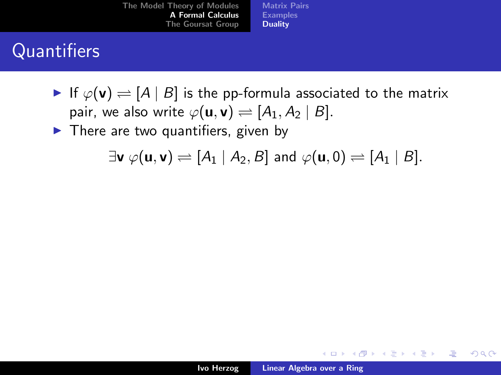[Matrix Pairs](#page-17-0) [Examples](#page-21-0) [Duality](#page-31-0)

# Quantifiers

- If  $\varphi(\mathbf{v}) \rightleftharpoons [A \mid B]$  is the pp-formula associated to the matrix pair, we also write  $\varphi(\mathbf{u}, \mathbf{v}) \rightleftharpoons [A_1, A_2 | B].$
- $\blacktriangleright$  There are two quantifiers, given by

$$
\exists \mathbf{v} \ \varphi(\mathbf{u}, \mathbf{v}) \rightleftharpoons [A_1 \ | \ A_2, B] \text{ and } \varphi(\mathbf{u}, 0) \rightleftharpoons [A_1 \ | \ B].
$$

メロメ メ御 メメ きょくきょう

哇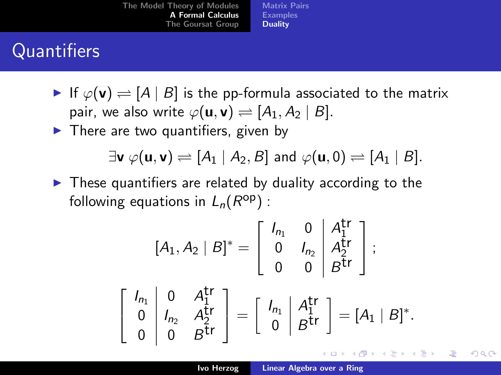[Matrix Pairs](#page-17-0) [Examples](#page-21-0) **[Duality](#page-31-0)** 

# **Quantifiers**

- If  $\varphi(\mathbf{v}) \rightleftharpoons [A \mid B]$  is the pp-formula associated to the matrix pair, we also write  $\varphi(\mathbf{u}, \mathbf{v}) \rightleftharpoons [A_1, A_2 | B].$
- $\blacktriangleright$  There are two quantifiers, given by

$$
\exists \mathbf{v} \ \varphi(\mathbf{u}, \mathbf{v}) \rightleftharpoons [A_1 \ | \ A_2, B] \text{ and } \varphi(\mathbf{u}, 0) \rightleftharpoons [A_1 \ | \ B].
$$

 $\blacktriangleright$  These quantifiers are related by duality according to the following equations in  $L_n(R^{\text{op}})$  :

$$
[A_1, A_2 | B]^* = \left[\begin{array}{cc} I_{n_1} & 0 & A_1^{tr} \\ 0 & I_{n_2} & A_2^{tr} \\ 0 & 0 & B^{tr} \end{array}\right];
$$

$$
\left[\begin{array}{cc} I_{n_1} & 0 & A_1^{\mathsf{tr}} \\ 0 & I_{n_2} & A_2^{\mathsf{tr}} \\ 0 & 0 & B^{\mathsf{tr}} \end{array}\right] = \left[\begin{array}{c} I_{n_1} & A_1^{\mathsf{tr}} \\ 0 & B^{\mathsf{tr}} \end{array}\right] = [A_1 \mid B]^*.
$$

K ロ ⊁ K 倒 ≯ K ミ ⊁ K ミ ≯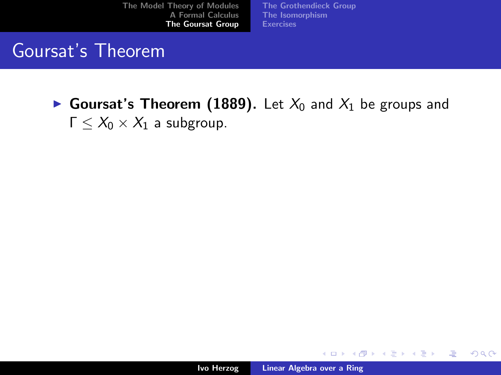[The Grothendieck Group](#page-56-0) [The Isomorphism](#page-62-0) [Exercises](#page-71-0)

### Goursat's Theorem

Goursat's Theorem (1889). Let  $X_0$  and  $X_1$  be groups and  $Γ < X<sub>0</sub> × X<sub>1</sub>$  a subgroup.

イロト イ押 トイモト イモト

<span id="page-49-0"></span>哇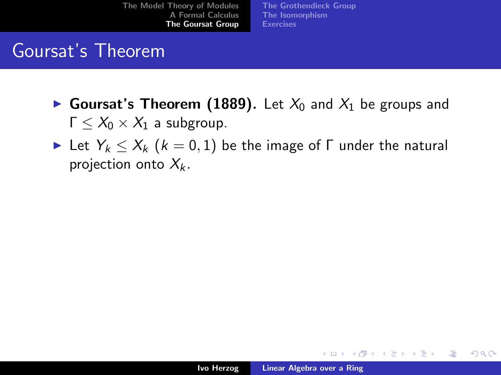[The Grothendieck Group](#page-56-0) [The Isomorphism](#page-62-0) **[Exercises](#page-71-0)** 

## Goursat's Theorem

- Goursat's Theorem (1889). Let  $X_0$  and  $X_1$  be groups and  $Γ < X<sub>0</sub> × X<sub>1</sub>$  a subgroup.
- In Let  $Y_k \leq X_k$   $(k = 0, 1)$  be the image of  $\Gamma$  under the natural projection onto  $X_k$ .

K ロ ⊁ K 倒 ≯ K ミ ⊁ K ミ ≯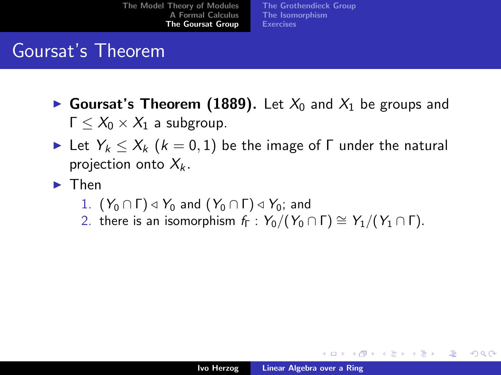[The Grothendieck Group](#page-56-0) [The Isomorphism](#page-62-0) **[Exercises](#page-71-0)** 

## Goursat's Theorem

- Goursat's Theorem (1889). Let  $X_0$  and  $X_1$  be groups and  $\Gamma < X_0 \times X_1$  a subgroup.
- Let  $Y_k < X_k$   $(k = 0, 1)$  be the image of  $\Gamma$  under the natural projection onto  $X_k$ .
- $\blacktriangleright$  Then
	- 1.  $(Y_0 \cap \Gamma) \triangleleft Y_0$  and  $(Y_0 \cap \Gamma) \triangleleft Y_0$ ; and
	- 2. there is an isomorphism  $f_{\Gamma}: Y_0/(Y_0 \cap \Gamma) \cong Y_1/(Y_1 \cap \Gamma)$ .

メロメ メ団 メメミメメミメ

つくい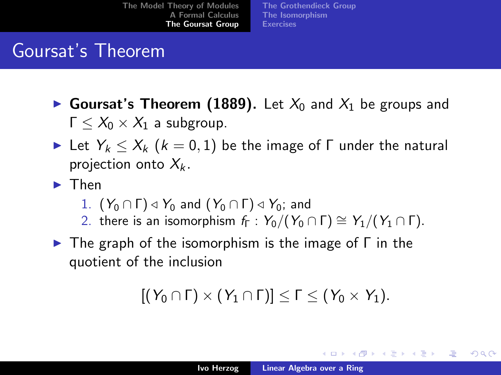[The Grothendieck Group](#page-56-0) [The Isomorphism](#page-62-0) **[Exercises](#page-71-0)** 

## Goursat's Theorem

- Goursat's Theorem (1889). Let  $X_0$  and  $X_1$  be groups and  $\Gamma < X_0 \times X_1$  a subgroup.
- Let  $Y_k < X_k$   $(k = 0, 1)$  be the image of  $\Gamma$  under the natural projection onto  $X_k$ .
- $\blacktriangleright$  Then
	- 1.  $(Y_0 \cap \Gamma) \triangleleft Y_0$  and  $(Y_0 \cap \Gamma) \triangleleft Y_0$ ; and
	- 2. there is an isomorphism  $f_{\Gamma}: Y_0/(Y_0 \cap \Gamma) \cong Y_1/(Y_1 \cap \Gamma)$ .
- $\triangleright$  The graph of the isomorphism is the image of  $\Gamma$  in the quotient of the inclusion

$$
[(Y_0 \cap \Gamma) \times (Y_1 \cap \Gamma)] \leq \Gamma \leq (Y_0 \times Y_1).
$$

K ロ ⊁ K 倒 ≯ K ミ ⊁ K ミ ≯

つへへ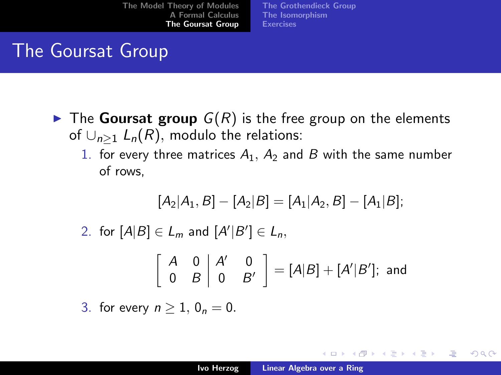[The Grothendieck Group](#page-56-0) [The Isomorphism](#page-62-0) **[Exercises](#page-71-0)** 

## The Goursat Group

- $\triangleright$  The Goursat group  $G(R)$  is the free group on the elements of  $\bigcup_{n>1} L_n(R)$ , modulo the relations:
	- 1. for every three matrices  $A_1$ ,  $A_2$  and B with the same number of rows,

$$
[A_2|A_1, B] - [A_2|B] = [A_1|A_2, B] - [A_1|B];
$$

2. for  $[A|B] \in L_m$  and  $[A'|B'] \in L_n$ ,

$$
\left[\begin{array}{cc} A & 0 & A' & 0 \\ 0 & B & 0 & B' \end{array}\right] = [A|B] + [A'|B']
$$
; and

3. for every  $n > 1$ ,  $0_n = 0$ .

K ロ ⊁ K 倒 ≯ K ミ ⊁ K ミ ≯

つへへ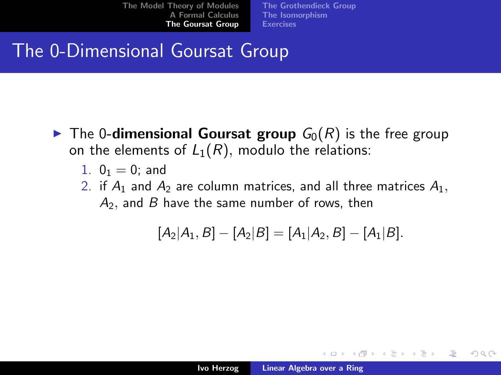[The Grothendieck Group](#page-56-0) [The Isomorphism](#page-62-0) **[Exercises](#page-71-0)** 

## The 0-Dimensional Goursat Group

- $\blacktriangleright$  The 0-dimensional Goursat group  $G_0(R)$  is the free group on the elements of  $L_1(R)$ , modulo the relations:
	- 1.  $0_1 = 0$ ; and
	- 2. if  $A_1$  and  $A_2$  are column matrices, and all three matrices  $A_1$ ,  $A<sub>2</sub>$ , and B have the same number of rows, then

$$
[A_2|A_1, B] - [A_2|B] = [A_1|A_2, B] - [A_1|B].
$$

K ロ ⊁ K 倒 ≯ K ミ ⊁ K ミ ≯

つくい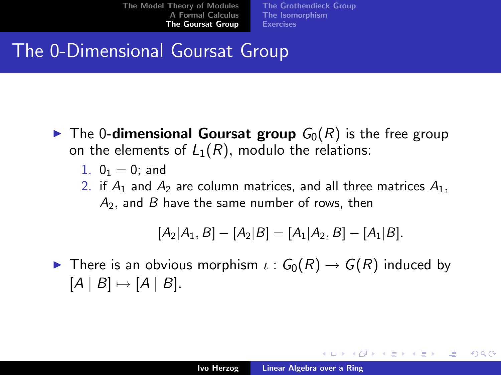[The Grothendieck Group](#page-56-0) [The Isomorphism](#page-62-0) **[Exercises](#page-71-0)** 

## The 0-Dimensional Goursat Group

- $\blacktriangleright$  The 0-dimensional Goursat group  $G_0(R)$  is the free group on the elements of  $L_1(R)$ , modulo the relations:
	- 1.  $0_1 = 0$ ; and
	- 2. if  $A_1$  and  $A_2$  are column matrices, and all three matrices  $A_1$ ,  $A<sub>2</sub>$ , and B have the same number of rows, then

$$
[A_2|A_1, B] - [A_2|B] = [A_1|A_2, B] - [A_1|B].
$$

**IDED** There is an obvious morphism  $\iota: G_0(R) \to G(R)$  induced by  $[A | B] \mapsto [A | B].$ 

K ロ ⊁ K 倒 ≯ K ミ ⊁ K ミ ≯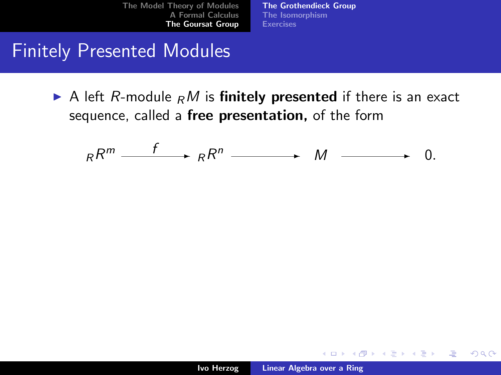[The Grothendieck Group](#page-58-0) [The Isomorphism](#page-62-0) **[Exercises](#page-71-0)** 

#### Finitely Presented Modules

A left R-module  $<sub>R</sub>M$  is finitely presented if there is an exact</sub> sequence, called a free presentation, of the form

$$
{}_{R}R^{m} \xrightarrow{f} {}_{R}R^{n} \xrightarrow{}
$$
 M  $\xrightarrow{}$  0.

K ロ ⊁ K 倒 ≯ K ミ ⊁ K ミ ≯

<span id="page-56-0"></span> $2Q$ 

哇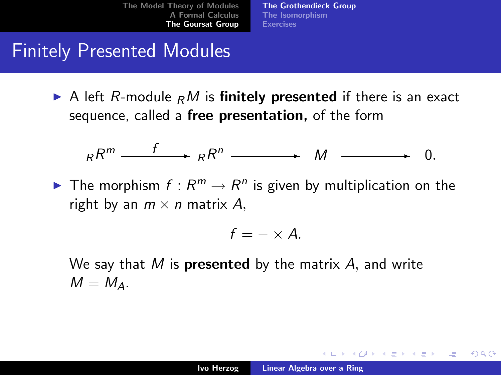[The Grothendieck Group](#page-58-0) [The Isomorphism](#page-62-0) **[Exercises](#page-71-0)** 

#### Finitely Presented Modules

A left R-module  $<sub>R</sub>M$  is finitely presented if there is an exact</sub> sequence, called a free presentation, of the form

$$
{}_{R}R^{m} \xrightarrow{f} {}_{R}R^{n} \xrightarrow{}
$$
 M  $\xrightarrow{}$  0.

The morphism  $f: R^m \to R^n$  is given by multiplication on the right by an  $m \times n$  matrix A,

$$
f=-\times A.
$$

We say that  $M$  is **presented** by the matrix  $A$ , and write  $M = M_A$ .

K ロ ⊁ K 倒 ≯ K ミ ⊁ K ミ ≯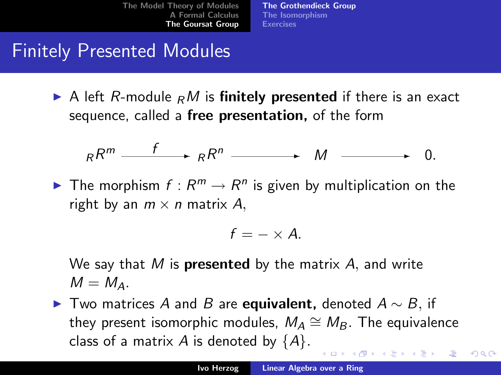[The Grothendieck Group](#page-56-0) [The Isomorphism](#page-62-0) **[Exercises](#page-71-0)** 

## Finitely Presented Modules

A left R-module  $<sub>R</sub>M$  is finitely presented if there is an exact</sub> sequence, called a free presentation, of the form

$$
{}_{R}R^{m} \xrightarrow{f} {}_{R}R^{n} \xrightarrow{}
$$
 M  $\xrightarrow{}$  0.

The morphism  $f: R^m \to R^n$  is given by multiplication on the right by an  $m \times n$  matrix A,

$$
f=-\times A.
$$

We sav that  $M$  is **presented** by the matrix  $A$ , and write  $M = M_{\Lambda}$ .

► Two matrices A and B are equivalent, denoted  $A \sim B$ , if they present isomorphic modules,  $M_A \cong M_B$ . The equivalence class of a matrix A is denoted by  $\{A\}$ .

<span id="page-58-0"></span> $\Omega$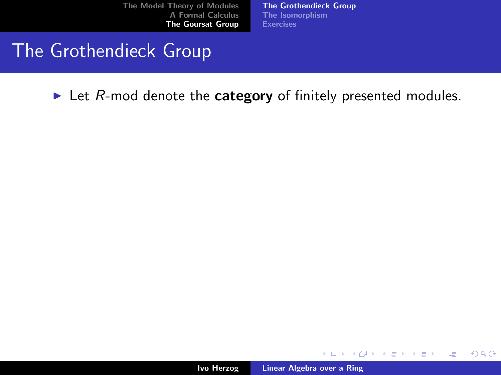[The Grothendieck Group](#page-56-0) [The Isomorphism](#page-62-0) **[Exercises](#page-71-0)** 

#### The Grothendieck Group

 $\blacktriangleright$  Let R-mod denote the **category** of finitely presented modules.

イロト イ押 トイモト イモト

哇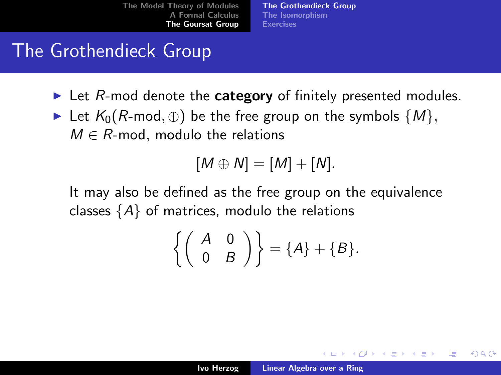[The Grothendieck Group](#page-56-0) [The Isomorphism](#page-62-0) **[Exercises](#page-71-0)** 

## The Grothendieck Group

- $\blacktriangleright$  Let R-mod denote the **category** of finitely presented modules.
- ► Let  $K_0(R\text{-mod}, \oplus)$  be the free group on the symbols  $\{M\},\$  $M \in R$ -mod, modulo the relations

$$
[M\oplus N]=[M]+[N].
$$

It may also be defined as the free group on the equivalence classes  $\{A\}$  of matrices, modulo the relations

$$
\left\{ \left( \begin{array}{cc} A & 0 \\ 0 & B \end{array} \right) \right\} = \{A\} + \{B\}.
$$

④目的 ④目的

つくい

K ロ ▶ K 倒 ▶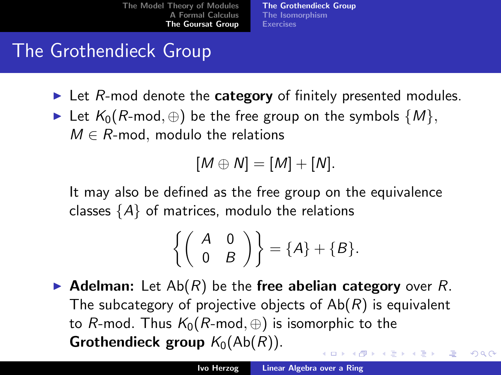[The Grothendieck Group](#page-56-0) [The Isomorphism](#page-62-0) [Exercises](#page-71-0)

## The Grothendieck Group

- $\blacktriangleright$  Let R-mod denote the **category** of finitely presented modules.
- ► Let  $K_0(R\text{-mod}, \oplus)$  be the free group on the symbols  $\{M\},\$  $M \in R$ -mod, modulo the relations

$$
[M\oplus N]=[M]+[N].
$$

It may also be defined as the free group on the equivalence classes  $\{A\}$  of matrices, modulo the relations

$$
\left\{ \left( \begin{array}{cc} A & 0 \\ 0 & B \end{array} \right) \right\} = \{A\} + \{B\}.
$$

Adelman: Let  $Ab(R)$  be the free abelian category over R. The subcategory of projective objects of  $Ab(R)$  is equivalent to R-mod. Thus  $K_0(R\text{-mod}, \oplus)$  is isomorphic to the **Grothendieck group**  $K_0(Ab(R))$ . メロメ メ御 メメ ミメ メミメ

 $\Omega$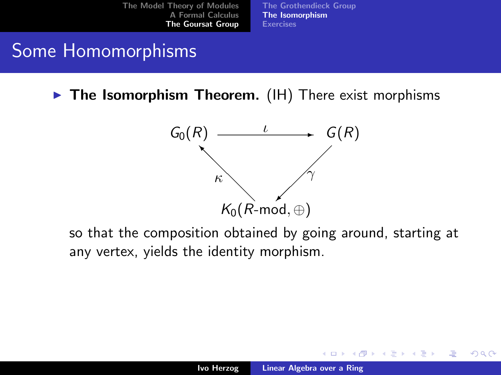[The Grothendieck Group](#page-56-0) [The Isomorphism](#page-64-0) **[Exercises](#page-71-0)** 

## Some Homomorphisms

 $\triangleright$  The Isomorphism Theorem. (IH) There exist morphisms



so that the composition obtained by going around, starting at any vertex, yields the identity morphism.

<span id="page-62-0"></span>K ロ ⊁ K 倒 ≯ K ミ ⊁ K ミ ≯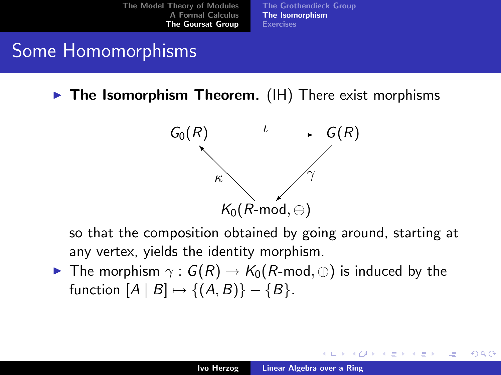[The Grothendieck Group](#page-56-0) [The Isomorphism](#page-64-0) **[Exercises](#page-71-0)** 

## Some Homomorphisms

 $\triangleright$  The Isomorphism Theorem. (IH) There exist morphisms



so that the composition obtained by going around, starting at any vertex, yields the identity morphism.

**►** The morphism  $\gamma$  :  $G(R) \rightarrow K_0(R\text{-mod}, \oplus)$  is induced by the function  $[A \mid B] \mapsto \{(A, B)\} - \{B\}.$ 

メロメ メ倒 メメ ミメ メミメ

つへへ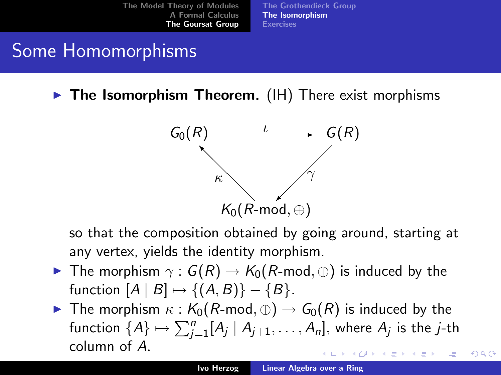[The Grothendieck Group](#page-56-0) [The Isomorphism](#page-62-0) **[Exercises](#page-71-0)** 

## Some Homomorphisms

 $\triangleright$  The Isomorphism Theorem. (IH) There exist morphisms

<span id="page-64-0"></span>

so that the composition obtained by going around, starting at any vertex, yields the identity morphism.

- **I** The morphism  $\gamma$ :  $G(R) \rightarrow K_0(R\text{-mod}, \oplus)$  is induced by the function  $[A \mid B] \mapsto \{(A, B)\} - \{B\}.$
- **►** The morphism  $\kappa$  :  $K_0(R\text{-mod}, \oplus) \to G_0(R)$  is induced by the function  $\{A\} \mapsto \sum_{j=1}^n [A_j \mid A_{j+1}, \ldots, A_n],$  where  $A_j$  is the  $j$ -th column of A. ∢ロト ∢母 ▶ ∢ ヨ ▶ ∢ ヨ ▶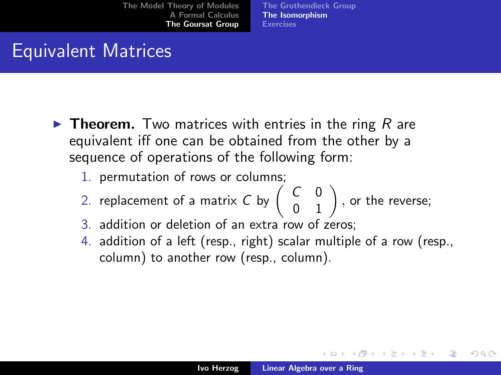[The Grothendieck Group](#page-56-0) [The Isomorphism](#page-62-0) **[Exercises](#page-71-0)** 

## Equivalent Matrices

- **Figure 1.** Two matrices with entries in the ring  $R$  are equivalent iff one can be obtained from the other by a sequence of operations of the following form:
	- 1. permutation of rows or columns;
	- 2. replacement of a matrix C by  $\left(\begin{array}{cc} C & 0 \ 0 & 1 \end{array}\right)$  , or the reverse;
	- 3. addition or deletion of an extra row of zeros;
	- 4. addition of a left (resp., right) scalar multiple of a row (resp., column) to another row (resp., column).

メロメ メ御 メメ ミメ メミメ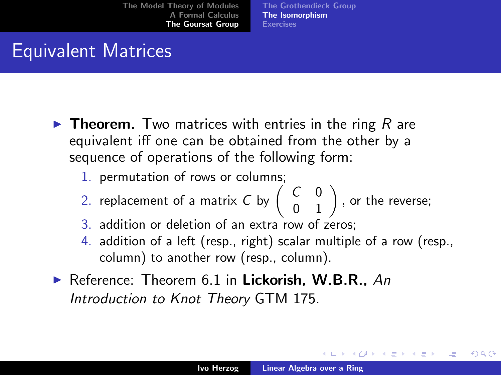[The Grothendieck Group](#page-56-0) [The Isomorphism](#page-62-0) **[Exercises](#page-71-0)** 

## Equivalent Matrices

- **Figure 1.** Two matrices with entries in the ring  $R$  are equivalent iff one can be obtained from the other by a sequence of operations of the following form:
	- 1. permutation of rows or columns;
	- 2. replacement of a matrix C by  $\left(\begin{array}{cc} C & 0 \ 0 & 1 \end{array}\right)$  , or the reverse;
	- 3. addition or deletion of an extra row of zeros;
	- 4. addition of a left (resp., right) scalar multiple of a row (resp., column) to another row (resp., column).
- Reference: Theorem 6.1 in Lickorish, W.B.R., An Introduction to Knot Theory GTM 175.

K ロ ⊁ K 倒 ≯ K ミ ⊁ K ミ ≯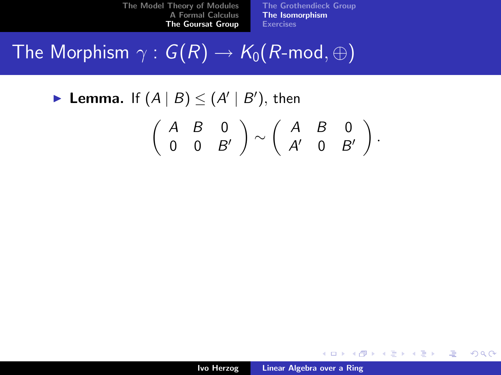[The Grothendieck Group](#page-56-0) [The Isomorphism](#page-62-0) [Exercises](#page-71-0)

# The Morphism  $\gamma: G(R) \to K_0(R\text{-mod}, \oplus)$

▶ Lemma. If  $(A | B) \leq (A' | B')$ , then

$$
\left(\begin{array}{ccc}A&B&0\\0&0&B'\end{array}\right)\sim\left(\begin{array}{ccc}A&B&0\\A'&0&B'\end{array}\right).
$$

K ロ ▶ K 個 ▶ K 君 ▶ K 君 ▶ ...

注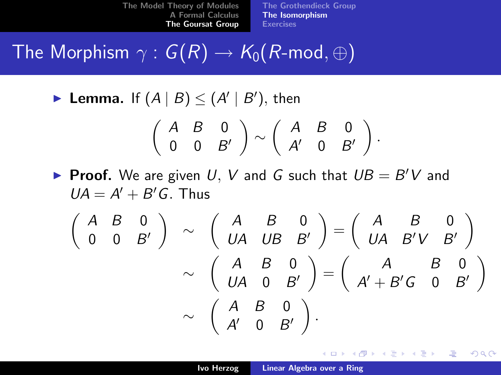[The Grothendieck Group](#page-56-0) [The Isomorphism](#page-62-0) **[Exercises](#page-71-0)** 

# The Morphism  $\gamma: G(R) \rightarrow \mathcal{K}_0(R\text{-mod}, \oplus)$

▶ Lemma. If  $(A | B) \leq (A' | B')$ , then

$$
\left(\begin{array}{ccc}A & B & 0 \\ 0 & 0 & B'\end{array}\right)\sim\left(\begin{array}{ccc}A & B & 0 \\ A' & 0 & B'\end{array}\right).
$$

Proof. We are given U, V and G such that  $UB = B'V$  and  $UA = A' + B'G$ . Thus

$$
\begin{pmatrix}\nA & B & 0 \\
0 & 0 & B'\n\end{pmatrix}\n\sim\n\begin{pmatrix}\nA & B & 0 \\
UA & UB & B'\n\end{pmatrix}\n=\n\begin{pmatrix}\nA & B & 0 \\
UA & B'V & B'\n\end{pmatrix}\n\sim\n\begin{pmatrix}\nA & B & 0 \\
UA & 0 & B'\n\end{pmatrix}\n=\n\begin{pmatrix}\nA & B & 0 \\
A' + B'G & 0 & B'\n\end{pmatrix}\n\sim\n\begin{pmatrix}\nA & B & 0 \\
A' & 0 & B'\n\end{pmatrix}.
$$

K ロ ⊁ K 倒 ≯ K ミ ⊁ K ミ ≯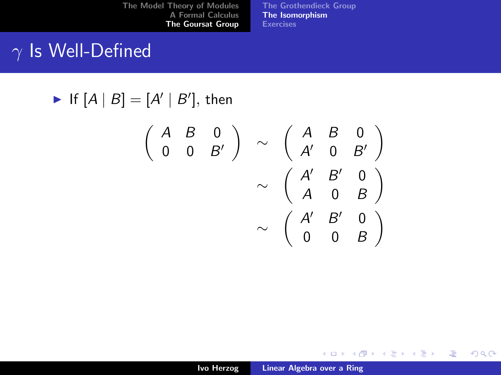[The Grothendieck Group](#page-56-0) [The Isomorphism](#page-62-0) **[Exercises](#page-71-0)** 

## $\gamma$  Is Well-Defined

$$
\blacktriangleright \text{ If } [A \mid B] = [A' \mid B'], \text{ then}
$$

$$
\begin{pmatrix}\nA & B & 0 \\
0 & 0 & B'\n\end{pmatrix}\n\sim\n\begin{pmatrix}\nA & B & 0 \\
A' & 0 & B'\n\end{pmatrix}\n\sim\n\begin{pmatrix}\nA' & B' & 0 \\
A & 0 & B\n\end{pmatrix}\n\sim\n\begin{pmatrix}\nA' & B' & 0 \\
0 & 0 & B\n\end{pmatrix}
$$

メロメ メ都 メメ きょくきょう

佳

 $299$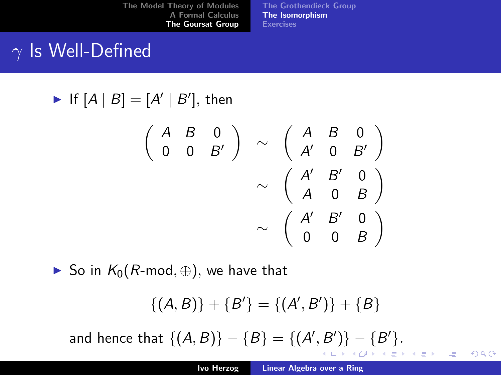[The Grothendieck Group](#page-56-0) [The Isomorphism](#page-62-0) **[Exercises](#page-71-0)** 

 $\setminus$ 

 $\setminus$ 

 $\setminus$ 

哇

 $2Q$ 

## $\gamma$  Is Well-Defined

If  $[A]$ 

$$
B = [A' | B'], \text{ then}
$$
  
\n
$$
\begin{pmatrix} A & B & 0 \\ 0 & 0 & B' \end{pmatrix} \sim \begin{pmatrix} A & B & 0 \\ A' & 0 & B' \\ A & 0 & B \end{pmatrix}
$$
  
\n
$$
\sim \begin{pmatrix} A' & B' & 0 \\ A & 0 & B \\ 0 & 0 & B \end{pmatrix}
$$

► So in  $K_0(R\text{-mod}, \bigoplus)$ , we have that

$$
\{(A, B)\} + \{B'\} = \{(A', B')\} + \{B\}
$$

and hence that  $\{(A, B)\} - \{B\} = \{(A', B')\} - \{B'\}.$ K ロ ⊁ K 倒 ≯ K ミ ⊁ K ミ ≯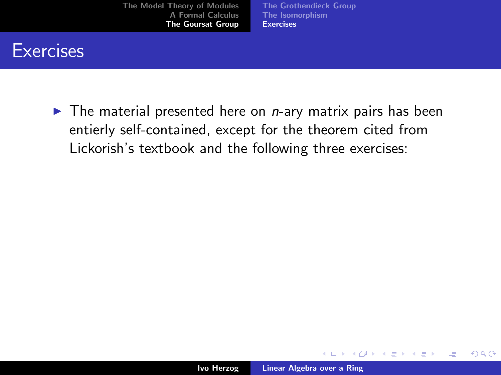[The Grothendieck Group](#page-56-0) [The Isomorphism](#page-62-0) [Exercises](#page-74-0)

#### **Exercises**

 $\blacktriangleright$  The material presented here on *n*-ary matrix pairs has been entierly self-contained, except for the theorem cited from Lickorish's textbook and the following three exercises:

K ロ ⊁ K 倒 ≯ K ミ ⊁ K ミ ≯

 $2Q$ 

<span id="page-71-0"></span>哇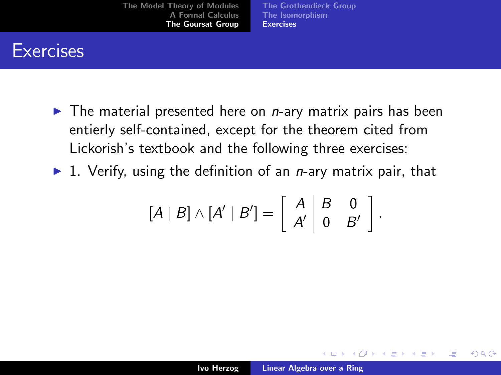[The Model Theory of Modules](#page-1-0) [A Formal Calculus](#page-17-0) [The Goursat Group](#page-49-0)

[The Grothendieck Group](#page-56-0) [The Isomorphism](#page-62-0) [Exercises](#page-74-0)

## **Exercises**

- $\blacktriangleright$  The material presented here on *n*-ary matrix pairs has been entierly self-contained, except for the theorem cited from Lickorish's textbook and the following three exercises:
- $\blacktriangleright$  1. Verify, using the definition of an *n*-ary matrix pair, that

$$
[A | B] \wedge [A' | B'] = \left[ \begin{array}{c|c} A & B & 0 \\ A' & 0 & B' \end{array} \right].
$$

K ロ ⊁ K 倒 ≯ K ミ ⊁ K ミ ⊁

 $2Q$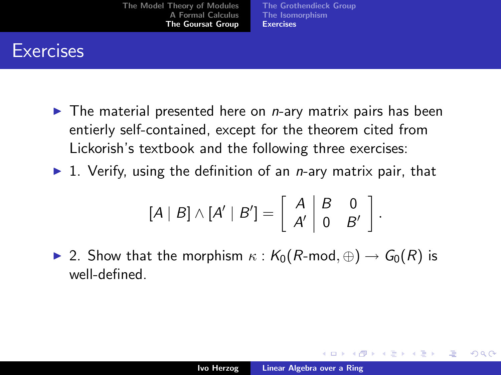[The Model Theory of Modules](#page-1-0) [A Formal Calculus](#page-17-0) [The Goursat Group](#page-49-0)

[The Grothendieck Group](#page-56-0) [The Isomorphism](#page-62-0) [Exercises](#page-74-0)

## **Exercises**

- $\blacktriangleright$  The material presented here on *n*-ary matrix pairs has been entierly self-contained, except for the theorem cited from Lickorish's textbook and the following three exercises:
- $\blacktriangleright$  1. Verify, using the definition of an *n*-ary matrix pair, that

$$
[A | B] \wedge [A' | B'] = \left[ \begin{array}{c|c} A & B & 0 \\ A' & 0 & B' \end{array} \right].
$$

**►** 2. Show that the morphism  $\kappa$  :  $K_0(R\text{-mod}, \oplus) \rightarrow G_0(R)$  is well-defined.

メロメ メ御 メメミメメミメ

つくい